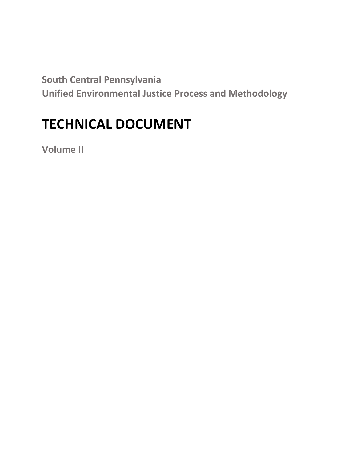**South Central Pennsylvania Unified Environmental Justice Process and Methodology**

# **TECHNICAL DOCUMENT**

**Volume II**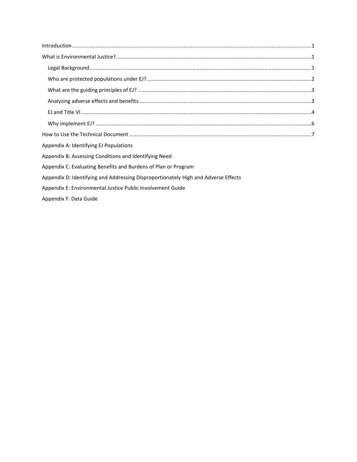| Appendix A: Identifying EJ Populations                         |  |
|----------------------------------------------------------------|--|
| Appendix B: Assessing Conditions and Identifying Need          |  |
| Appendix C: Evaluating Benefits and Burdens of Plan or Program |  |

Appendix D: Identifying and Addressing Disproportionately High and Adverse Effects

Appendix E: Environmental Justice Public Involvement Guide

Appendix F: Data Guide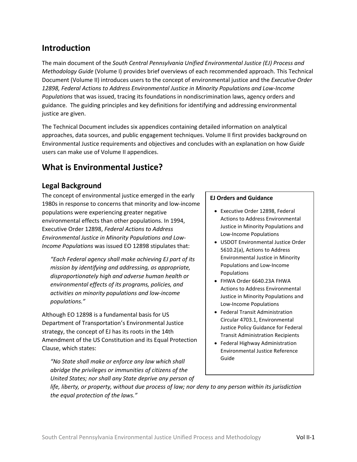## <span id="page-2-0"></span>**Introduction**

The main document of the *South Central Pennsylvania Unified Environmental Justice (EJ) Process and Methodology Guide* (Volume I) provides brief overviews of each recommended approach. This Technical Document (Volume II) introduces users to the concept of environmental justice and the *Executive Order 12898, Federal Actions to Address Environmental Justice in Minority Populations and Low-Income Populations* that was issued, tracing its foundations in nondiscrimination laws, agency orders and guidance. The guiding principles and key definitions for identifying and addressing environmental justice are given.

The Technical Document includes six appendices containing detailed information on analytical approaches, data sources, and public engagement techniques. Volume II first provides background on Environmental Justice requirements and objectives and concludes with an explanation on how *Guide* users can make use of Volume II appendices.

## <span id="page-2-1"></span>**What is Environmental Justice?**

#### <span id="page-2-2"></span>**Legal Background**

The concept of environmental justice emerged in the early 1980s in response to concerns that minority and low-income populations were experiencing greater negative environmental effects than other populations. In 1994, Executive Order 12898, *Federal Actions to Address Environmental Justice in Minority Populations and Low-Income Populations* was issued EO 12898 stipulates that:

*"Each Federal agency shall make achieving EJ part of its mission by identifying and addressing, as appropriate, disproportionately high and adverse human health or environmental effects of its programs, policies, and activities on minority populations and low-income populations."* 

Although EO 12898 is a fundamental basis for US Department of Transportation's Environmental Justice strategy, the concept of EJ has its roots in the 14th Amendment of the US Constitution and its Equal Protection Clause, which states:

*"No State shall make or enforce any law which shall abridge the privileges or immunities of citizens of the United States; nor shall any State deprive any person of* 

#### **EJ Orders and Guidance**

- Executive Order 12898, Federal Actions to Address Environmental Justice in Minority Populations and Low-Income Populations
- USDOT Environmental Justice Order 5610.2(a), Actions to Address Environmental Justice in Minority Populations and Low-Income Populations
- FHWA Order 6640.23A FHWA Actions to Address Environmental Justice in Minority Populations and Low-Income Populations
- Federal Transit Administration Circular 4703.1, Environmental Justice Policy Guidance for Federal Transit Administration Recipients
- Federal Highway Administration Environmental Justice Reference Guide

*life, liberty, or property, without due process of law; nor deny to any person within its jurisdiction the equal protection of the laws."*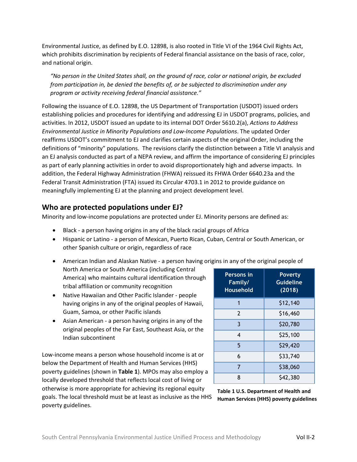Environmental Justice, as defined by E.O. 12898, is also rooted in Title VI of the 1964 Civil Rights Act, which prohibits discrimination by recipients of Federal financial assistance on the basis of race, color, and national origin.

*"No person in the United States shall, on the ground of race, color or national origin, be excluded from participation in, be denied the benefits of, or be subjected to discrimination under any program or activity receiving federal financial assistance."* 

Following the issuance of E.O. 12898, the US Department of Transportation (USDOT) issued orders establishing policies and procedures for identifying and addressing EJ in USDOT programs, policies, and activities. In 2012, USDOT issued an update to its internal DOT Order 5610.2(a), *Actions to Address Environmental Justice in Minority Populations and Low-Income Populations*. The updated Order reaffirms USDOT's commitment to EJ and clarifies certain aspects of the original Order, including the definitions of "minority" populations. The revisions clarify the distinction between a Title VI analysis and an EJ analysis conducted as part of a NEPA review, and affirm the importance of considering EJ principles as part of early planning activities in order to avoid disproportionately high and adverse impacts. In addition, the Federal Highway Administration (FHWA) reissued its FHWA Order 6640.23a and the Federal Transit Administration (FTA) issued its Circular 4703.1 in 2012 to provide guidance on meaningfully implementing EJ at the planning and project development level.

#### <span id="page-3-0"></span>**Who are protected populations under EJ?**

Minority and low-income populations are protected under EJ. Minority persons are defined as:

- Black a person having origins in any of the black racial groups of Africa
- Hispanic or Latino a person of Mexican, Puerto Rican, Cuban, Central or South American, or other Spanish culture or origin, regardless of race
- American Indian and Alaskan Native a person having origins in any of the original people of North America or South America (including Central America) who maintains cultural identification through tribal affiliation or community recognition **Persons in Family/**
- Native Hawaiian and Other Pacific Islander people having origins in any of the original peoples of Hawaii, Guam, Samoa, or other Pacific islands
- Asian American a person having origins in any of the original peoples of the Far East, Southeast Asia, or the Indian subcontinent

Low-income means a person whose household income is at or below the Department of Health and Human Services (HHS) poverty guidelines (shown in **Table 1**). MPOs may also employ a locally developed threshold that reflects local cost of living or otherwise is more appropriate for achieving its regional equity goals. The local threshold must be at least as inclusive as the HHS poverty guidelines.

| Persons in<br>Family/<br><b>Household</b> | <b>Poverty</b><br><b>Guideline</b><br>(2018) |
|-------------------------------------------|----------------------------------------------|
| 1                                         | \$12,140                                     |
| $\mathcal{P}$                             | \$16,460                                     |
| 3                                         | \$20,780                                     |
| 4                                         | \$25,100                                     |
| 5                                         | \$29,420                                     |
| 6                                         | \$33,740                                     |
| 7                                         | \$38,060                                     |
| 8                                         | \$42,380                                     |

**Table 1 U.S. Department of Health and Human Services (HHS) poverty guidelines**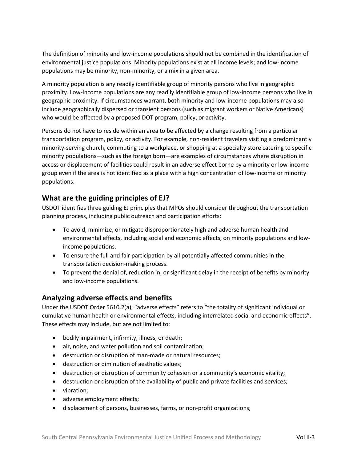The definition of minority and low-income populations should not be combined in the identification of environmental justice populations. Minority populations exist at all income levels; and low-income populations may be minority, non-minority, or a mix in a given area.

A minority population is any readily identifiable group of minority persons who live in geographic proximity. Low-income populations are any readily identifiable group of low-income persons who live in geographic proximity. If circumstances warrant, both minority and low-income populations may also include geographically dispersed or transient persons (such as migrant workers or Native Americans) who would be affected by a proposed DOT program, policy, or activity.

Persons do not have to reside within an area to be affected by a change resulting from a particular transportation program, policy, or activity. For example, non-resident travelers visiting a predominantly minority-serving church, commuting to a workplace, or shopping at a specialty store catering to specific minority populations—such as the foreign born—are examples of circumstances where disruption in access or displacement of facilities could result in an adverse effect borne by a minority or low-income group even if the area is not identified as a place with a high concentration of low-income or minority populations.

#### <span id="page-4-0"></span>**What are the guiding principles of EJ?**

USDOT identifies three guiding EJ principles that MPOs should consider throughout the transportation planning process, including public outreach and participation efforts:

- To avoid, minimize, or mitigate disproportionately high and adverse human health and environmental effects, including social and economic effects, on minority populations and lowincome populations.
- To ensure the full and fair participation by all potentially affected communities in the transportation decision-making process.
- To prevent the denial of, reduction in, or significant delay in the receipt of benefits by minority and low-income populations.

### <span id="page-4-1"></span>**Analyzing adverse effects and benefits**

Under the USDOT Order 5610.2(a), "adverse effects" refers to "the totality of significant individual or cumulative human health or environmental effects, including interrelated social and economic effects". These effects may include, but are not limited to:

- bodily impairment, infirmity, illness, or death;
- air, noise, and water pollution and soil contamination;
- destruction or disruption of man-made or natural resources;
- destruction or diminution of aesthetic values;
- destruction or disruption of community cohesion or a community's economic vitality;
- destruction or disruption of the availability of public and private facilities and services;
- vibration;
- adverse employment effects;
- displacement of persons, businesses, farms, or non-profit organizations;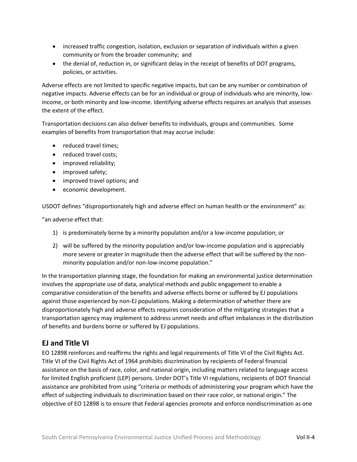- increased traffic congestion, isolation, exclusion or separation of individuals within a given community or from the broader community; and
- the denial of, reduction in, or significant delay in the receipt of benefits of DOT programs, policies, or activities.

Adverse effects are not limited to specific negative impacts, but can be any number or combination of negative impacts. Adverse effects can be for an individual or group of individuals who are minority, lowincome, or both minority and low-income. Identifying adverse effects requires an analysis that assesses the extent of the effect.

Transportation decisions can also deliver benefits to individuals, groups and communities. Some examples of benefits from transportation that may accrue include:

- reduced travel times:
- reduced travel costs;
- improved reliability;
- improved safety;
- improved travel options; and
- economic development.

USDOT defines "disproportionately high and adverse effect on human health or the environment" as:

"an adverse effect that:

- 1) is predominately borne by a minority population and/or a low-income population; or
- 2) will be suffered by the minority population and/or low-income population and is appreciably more severe or greater in magnitude then the adverse effect that will be suffered by the nonminority population and/or non-low-income population."

In the transportation planning stage, the foundation for making an environmental justice determination involves the appropriate use of data, analytical methods and public engagement to enable a comparative consideration of the benefits and adverse effects borne or suffered by EJ populations against those experienced by non-EJ populations. Making a determination of whether there are disproportionately high and adverse effects requires consideration of the mitigating strategies that a transportation agency may implement to address unmet needs and offset imbalances in the distribution of benefits and burdens borne or suffered by EJ populations.

### <span id="page-5-0"></span>**EJ and Title VI**

EO 12898 reinforces and reaffirms the rights and legal requirements of Title VI of the Civil Rights Act. Title VI of the Civil Rights Act of 1964 prohibits discrimination by recipients of Federal financial assistance on the basis of race, color, and national origin, including matters related to language access for limited English proficient (LEP) persons. Under DOT's Title VI regulations, recipients of DOT financial assistance are prohibited from using "criteria or methods of administering your program which have the effect of subjecting individuals to discrimination based on their race color, or national origin." The objective of EO 12898 is to ensure that Federal agencies promote and enforce nondiscrimination as one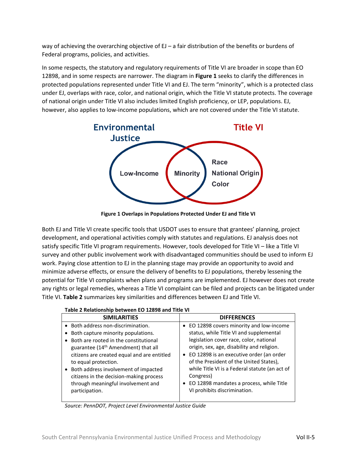way of achieving the overarching objective of EJ – a fair distribution of the benefits or burdens of Federal programs, policies, and activities.

In some respects, the statutory and regulatory requirements of Title VI are broader in scope than EO 12898, and in some respects are narrower. The diagram in **Figure 1** seeks to clarify the differences in protected populations represented under Title VI and EJ. The term "minority", which is a protected class under EJ, overlaps with race, color, and national origin, which the Title VI statute protects. The coverage of national origin under Title VI also includes limited English proficiency, or LEP, populations. EJ, however, also applies to low-income populations, which are not covered under the Title VI statute.



**Figure 1 Overlaps in Populations Protected Under EJ and Title VI**

Both EJ and Title VI create specific tools that USDOT uses to ensure that grantees' planning, project development, and operational activities comply with statutes and regulations. EJ analysis does not satisfy specific Title VI program requirements. However, tools developed for Title VI – like a Title VI survey and other public involvement work with disadvantaged communities should be used to inform EJ work. Paying close attention to EJ in the planning stage may provide an opportunity to avoid and minimize adverse effects, or ensure the delivery of benefits to EJ populations, thereby lessening the potential for Title VI complaints when plans and programs are implemented. EJ however does not create any rights or legal remedies, whereas a Title VI complaint can be filed and projects can be litigated under Title VI. **Table 2** summarizes key similarities and differences between EJ and Title VI.

| Table 2 Relationship between EO 12898 and Title VI |  |
|----------------------------------------------------|--|
|                                                    |  |

| <b>SIMILARITIES</b>                             | <b>DIFFERENCES</b>                             |
|-------------------------------------------------|------------------------------------------------|
| • Both address non-discrimination.              | EO 12898 covers minority and low-income        |
| • Both capture minority populations.            | status, while Title VI and supplemental        |
| • Both are rooted in the constitutional         | legislation cover race, color, national        |
| guarantee (14 <sup>th</sup> Amendment) that all | origin, sex, age, disability and religion.     |
| citizens are created equal and are entitled     | EO 12898 is an executive order (an order       |
| to equal protection.                            | of the President of the United States),        |
| • Both address involvement of impacted          | while Title VI is a Federal statute (an act of |
| citizens in the decision-making process         | Congress)                                      |
| through meaningful involvement and              | EO 12898 mandates a process, while Title       |
| participation.                                  | VI prohibits discrimination.                   |
|                                                 |                                                |

*Source: PennDOT, Project Level Environmental Justice Guide*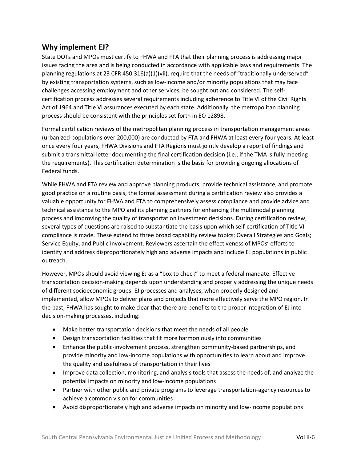#### <span id="page-7-0"></span>**Why implement EJ?**

State DOTs and MPOs must certify to FHWA and FTA that their planning process is addressing major issues facing the area and is being conducted in accordance with applicable laws and requirements. The planning regulations at 23 CFR 450.316(a)(1)(vii), require that the needs of "traditionally underserved" by existing transportation systems, such as low-income and/or minority populations that may face challenges accessing employment and other services, be sought out and considered. The selfcertification process addresses several requirements including adherence to Title VI of the Civil Rights Act of 1964 and Title VI assurances executed by each state. Additionally, the metropolitan planning process should be consistent with the principles set forth in EO 12898.

Formal certification reviews of the metropolitan planning process in transportation management areas (urbanized populations over 200,000) are conducted by FTA and FHWA at least every four years. At least once every four years, FHWA Divisions and FTA Regions must jointly develop a report of findings and submit a transmittal letter documenting the final certification decision (i.e., if the TMA is fully meeting the requirements). This certification determination is the basis for providing ongoing allocations of Federal funds.

While FHWA and FTA review and approve planning products, provide technical assistance, and promote good practice on a routine basis, the formal assessment during a certification review also provides a valuable opportunity for FHWA and FTA to comprehensively assess compliance and provide advice and technical assistance to the MPO and its planning partners for enhancing the multimodal planning process and improving the quality of transportation investment decisions. During certification review, several types of questions are raised to substantiate the basis upon which self-certification of Title VI compliance is made. These extend to three broad capability review topics; Overall Strategies and Goals; Service Equity, and Public Involvement. Reviewers ascertain the effectiveness of MPOs' efforts to identify and address disproportionately high and adverse impacts and include EJ populations in public outreach.

However, MPOs should avoid viewing EJ as a "box to check" to meet a federal mandate. Effective transportation decision-making depends upon understanding and properly addressing the unique needs of different socioeconomic groups. EJ processes and analyses, when properly designed and implemented, allow MPOs to deliver plans and projects that more effectively serve the MPO region. In the past, FHWA has sought to make clear that there are benefits to the proper integration of EJ into decision-making processes, including:

- Make better transportation decisions that meet the needs of all people
- Design transportation facilities that fit more harmoniously into communities
- Enhance the public-involvement process, strengthen community-based partnerships, and provide minority and low-income populations with opportunities to learn about and improve the quality and usefulness of transportation in their lives
- Improve data collection, monitoring, and analysis tools that assess the needs of, and analyze the potential impacts on minority and low-income populations
- Partner with other public and private programs to leverage transportation-agency resources to achieve a common vision for communities
- Avoid disproportionately high and adverse impacts on minority and low-income populations